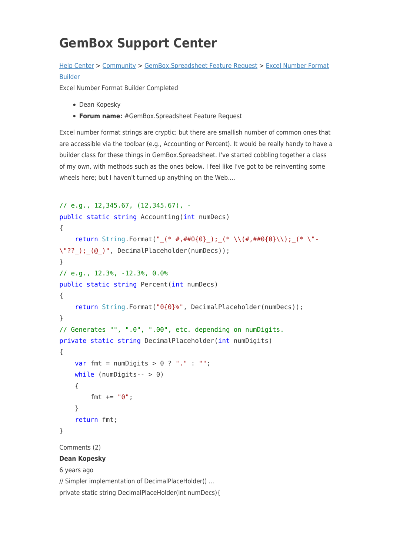## **GemBox Support Center**

## [Help Center](https://support.gemboxsoftware.com/) > [Community](https://support.gemboxsoftware.com/community) > [GemBox.Spreadsheet Feature Request](https://support.gemboxsoftware.com/community/browse/type-1/view-list/viewmode-compact) > [Excel Number Format](https://support.gemboxsoftware.com/community/view/excel-number-format-builder) [Builder](https://support.gemboxsoftware.com/community/view/excel-number-format-builder)

Excel Number Format Builder Completed

- Dean Kopesky
- **Forum name:** #GemBox.Spreadsheet Feature Request

Excel number format strings are cryptic; but there are smallish number of common ones that are accessible via the toolbar (e.g., Accounting or Percent). It would be really handy to have a builder class for these things in GemBox.Spreadsheet. I've started cobbling together a class of my own, with methods such as the ones below. I feel like I've got to be reinventing some wheels here; but I haven't turned up anything on the Web....

```
// e.g., 12,345.67, (12,345.67), -
public static string Accounting(int numDecs)
{
    return String.Format(" (* #, ##0{0}) ); (* \ \backslash (#, ##0{0})\backslash ); (* \ \backslash "-
\"?? ); (@ )", DecimalPlaceholder(numDecs));
}
// e.g., 12.3%, -12.3%, 0.0%
public static string Percent(int numDecs)
{
     return String.Format("0{0}%", DecimalPlaceholder(numDecs));
}
// Generates "", ".0", ".00", etc. depending on numDigits.
private static string DecimalPlaceholder(int numDigits)
{
    var fmt = numDigits > 0 ? "." : "";
    while (numDigits-- > 0)
     {
         fmt += "0";
     }
     return fmt;
}
Comments (2)
Dean Kopesky
6 years ago
// Simpler implementation of DecimalPlaceHolder() ...
```
private static string DecimalPlaceHolder(int numDecs){